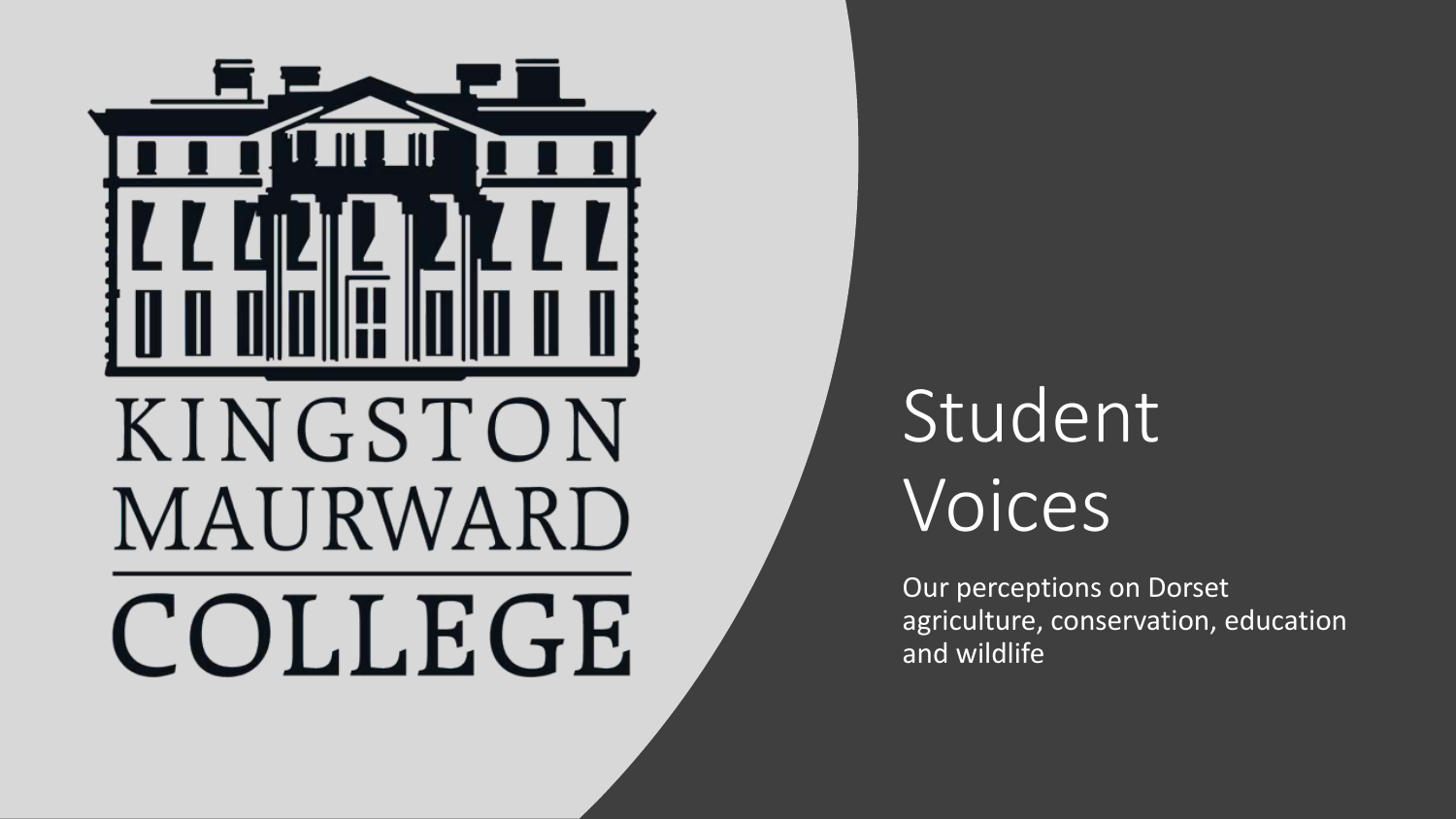

## Student Voices

Our perceptions on Dorset agriculture, conservation, education and wildlife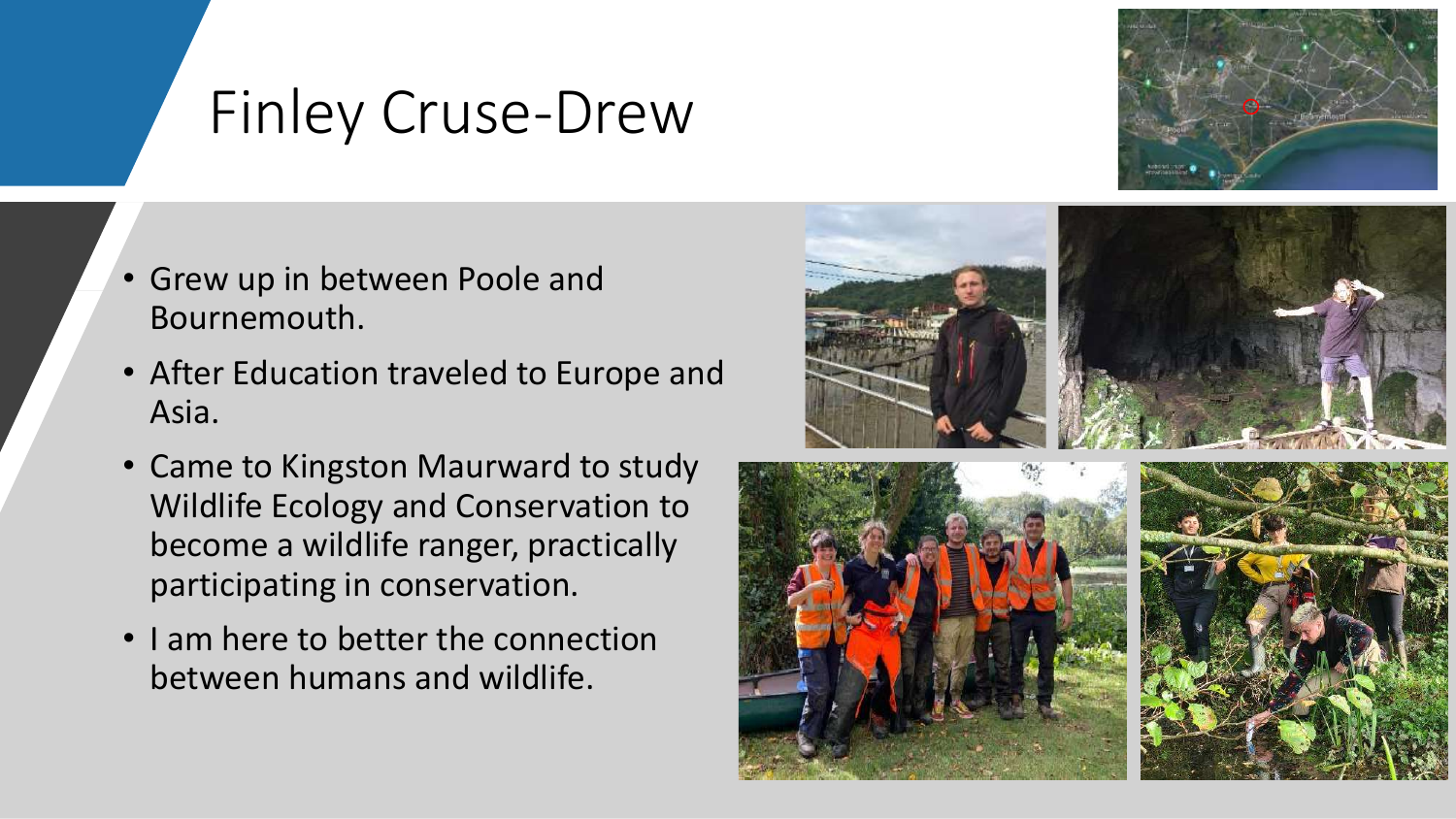#### Finley Cruse-Drew



- Grew up in between Poole and Bournemouth.
- After Education traveled to Europe and Asia.
- Came to Kingston Maurward to study Wildlife Ecology and Conservation to become a wildlife ranger, practically participating in conservation.
- I am here to better the connection between humans and wildlife.



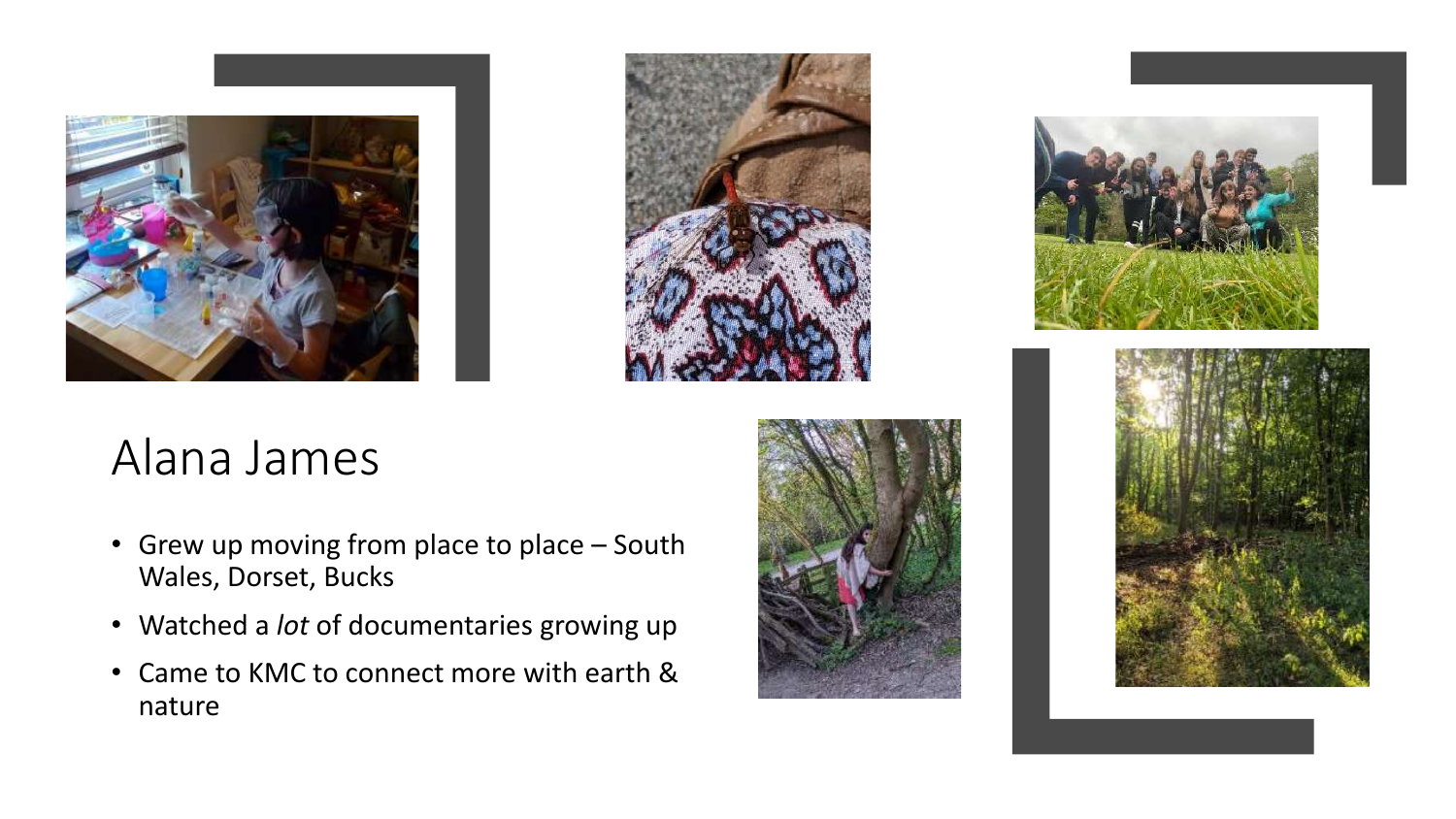



#### Alana James

- Grew up moving from place to place South Wales, Dorset, Bucks
- Watched a *lot* of documentaries growing up
- Came to KMC to connect more with earth & nature





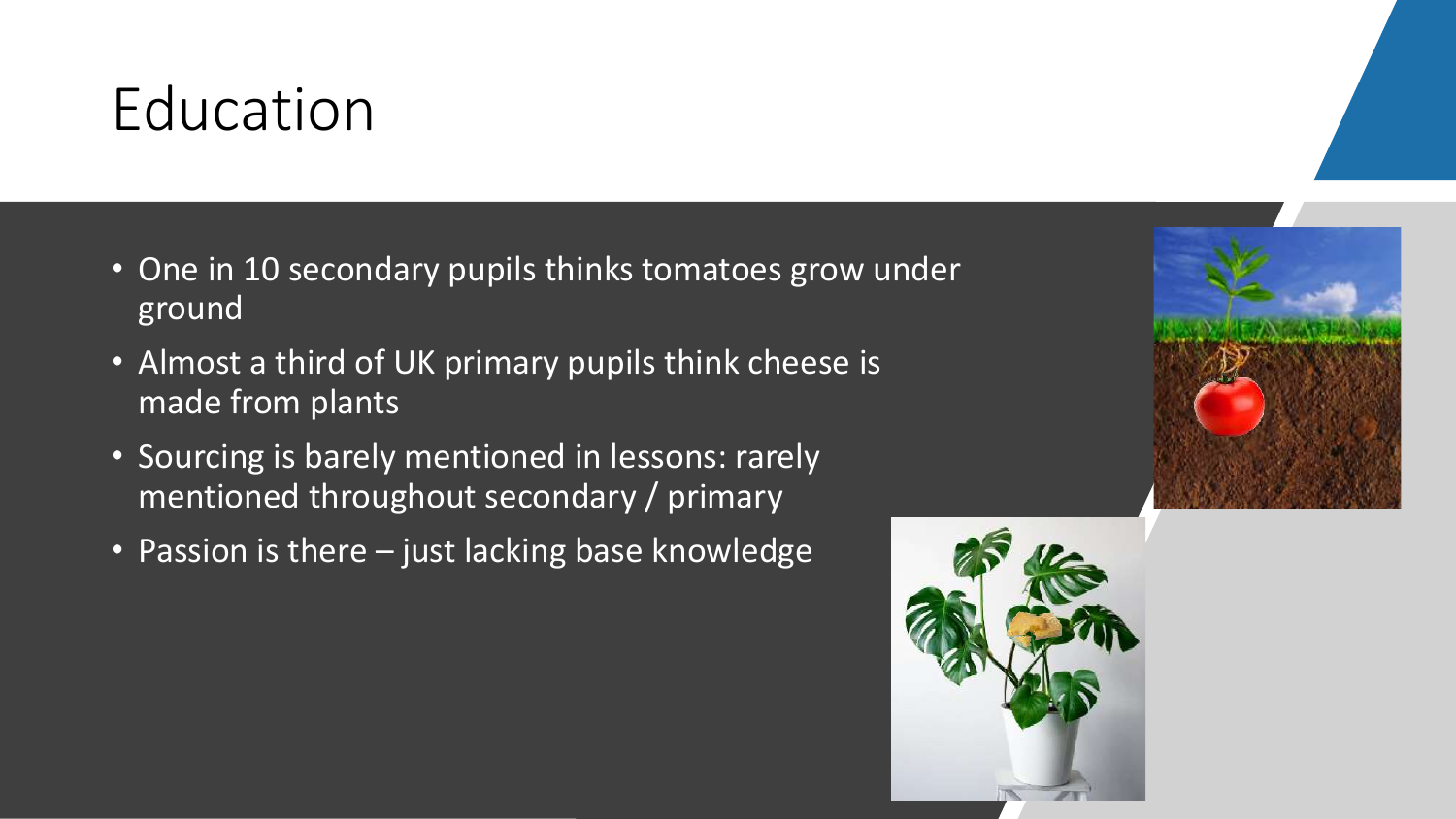#### Education

- One in 10 secondary pupils thinks tomatoes grow under ground
- Almost a third of UK primary pupils think cheese is made from plants
- Sourcing is barely mentioned in lessons: rarely mentioned throughout secondary / primary
- Passion is there just lacking base knowledge



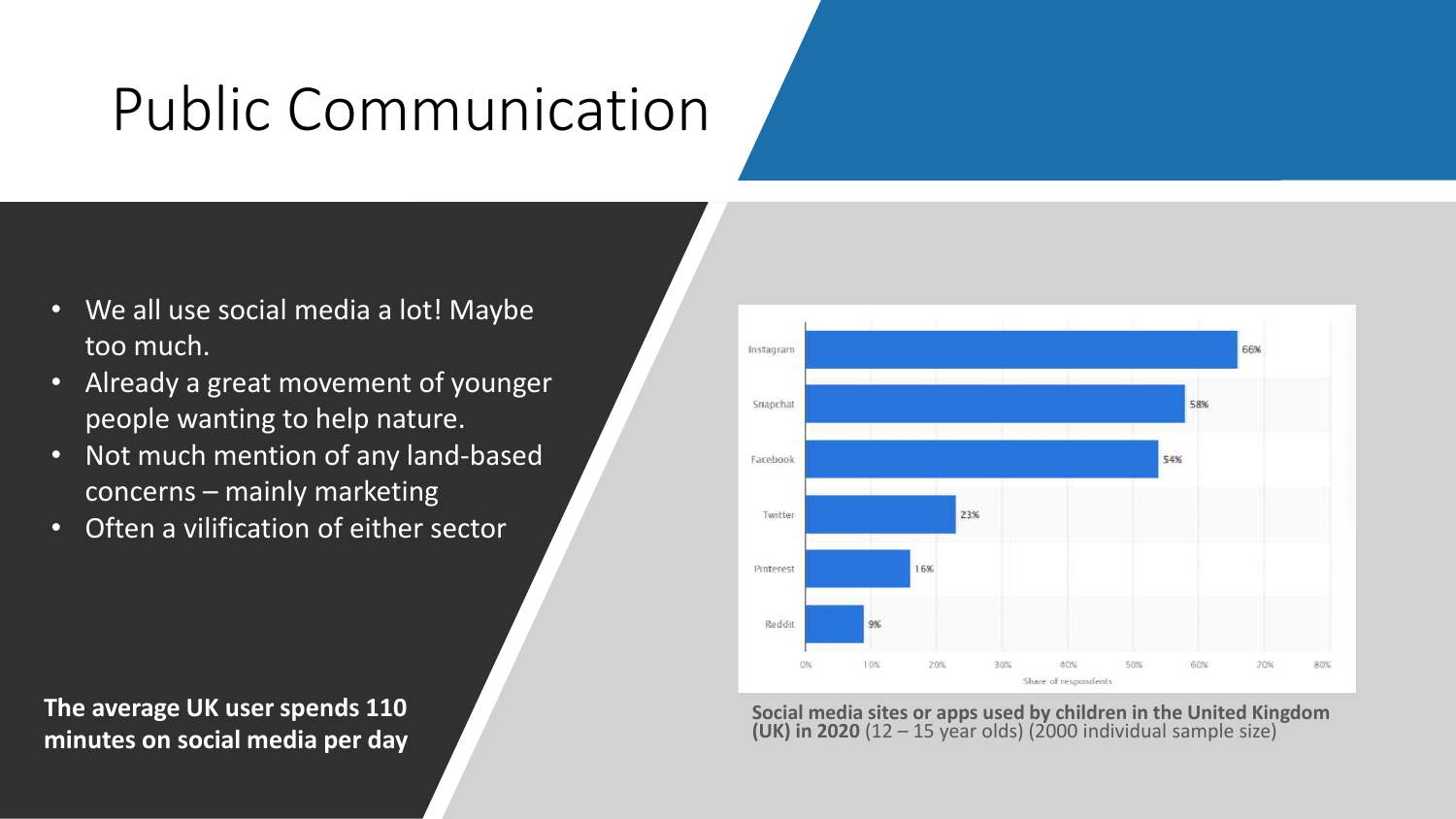### Public Communication

- We all use social media a lot! Maybe too much.
- Already a great movement of younger people wanting to help nature.
- Not much mention of any land-based concerns – mainly marketing
- Often a vilification of either sector

**The average UK user spends 110 minutes on social media per day**



**Social media sites or apps used by children in the United Kingdom (UK) in 2020** (12 – 15 year olds) (2000 individual sample size)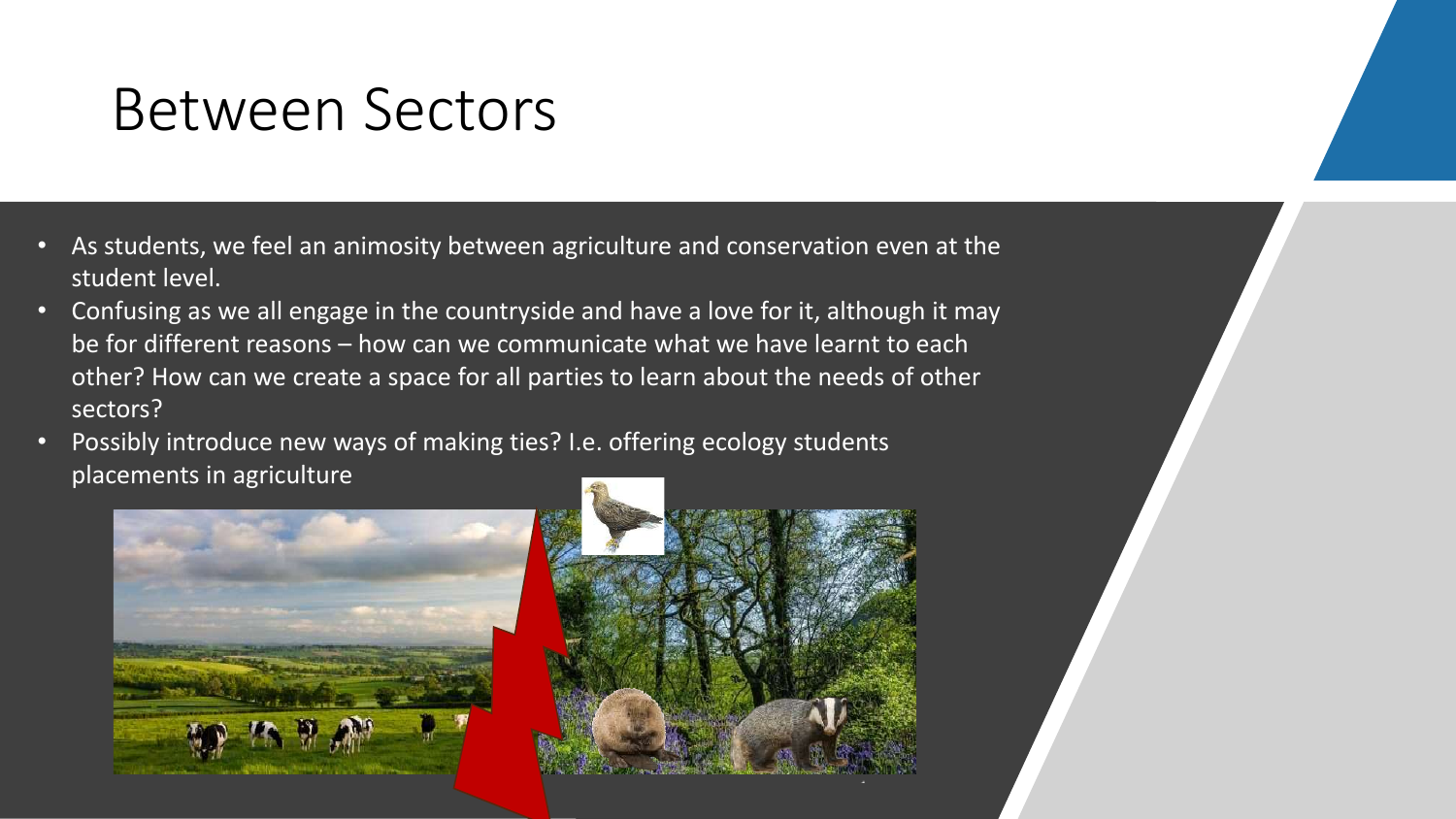#### Between Sectors

- As students, we feel an animosity between agriculture and conservation even at the student level.
- Confusing as we all engage in the countryside and have a love for it, although it may be for different reasons – how can we communicate what we have learnt to each other? How can we create a space for all parties to learn about the needs of other sectors?
- Possibly introduce new ways of making ties? I.e. offering ecology students placements in agriculture